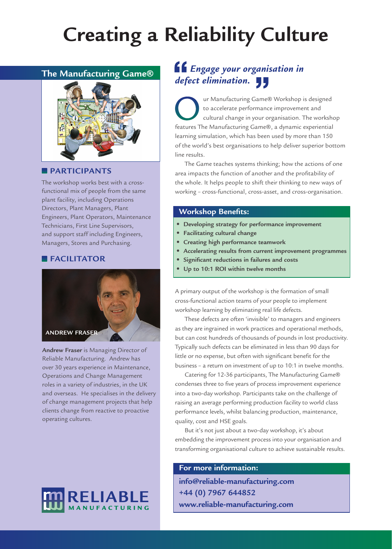# **Creating a Reliability Culture**

# **The Manufacturing Game®**



# **PARTICIPANTS**

The workshop works best with a crossfunctional mix of people from the same plant facility, including Operations Directors, Plant Managers, Plant Engineers, Plant Operators, Maintenance Technicians, First Line Supervisors, and support staff including Engineers, Managers, Stores and Purchasing.

# **FACILITATOR**



**Andrew Fraser** is Managing Director of Reliable Manufacturing. Andrew has over 30 years experience in Maintenance, Operations and Change Management roles in a variety of industries, in the UK and overseas. He specialises in the delivery of change management projects that help clients change from reactive to proactive operating cultures.



# *Engage your organisation in defect elimination.*

ur Manufacturing Game® Workshop is designed to accelerate performance improvement and cultural change in your organisation. The workshop features The Manufacturing Game®, a dynamic experiential learning simulation, which has been used by more than 150 of the world's best organisations to help deliver superior bottom line results.

The Game teaches systems thinking; how the actions of one area impacts the function of another and the profitability of the whole. It helps people to shift their thinking to new ways of working – cross-functional, cross-asset, and cross-organisation.

# **Workshop Benefits:**

- **Developing strategy for performance improvement**
- **Facilitating cultural change**
- **Creating high performance teamwork**
- **Accelerating results from current improvement programmes**
- **Significant reductions in failures and costs**
- **Up to 10:1 ROI within twelve months**

A primary output of the workshop is the formation of small cross-functional action teams of your people to implement workshop learning by eliminating real life defects.

These defects are often 'invisible' to managers and engineers as they are ingrained in work practices and operational methods, but can cost hundreds of thousands of pounds in lost productivity. Typically such defects can be eliminated in less than 90 days for little or no expense, but often with significant benefit for the business – a return on investment of up to 10:1 in twelve months.

Catering for 12-36 participants, The Manufacturing Game® condenses three to five years of process improvement experience into a two-day workshop. Participants take on the challenge of raising an average performing production facility to world class performance levels, whilst balancing production, maintenance, quality, cost and HSE goals.

But it's not just about a two-day workshop, it's about embedding the improvement process into your organisation and transforming organisational culture to achieve sustainable results.

## **For more information:**

**info@reliable-manufacturing.com +44 (0) 7967 644852 www.reliable-manufacturing.com**